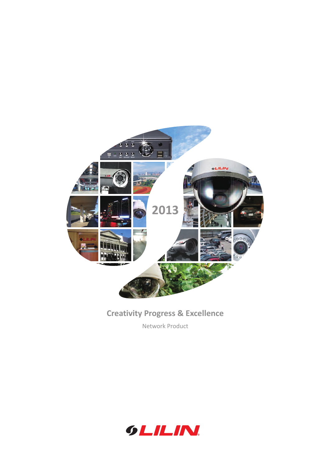

## **Creativity Progress & Excellence**

Network Product